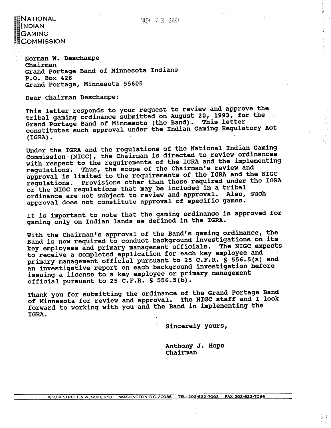# NATIONAL **INDIAN GAMING COMMISSION**

**Norman W. Deschampe Chairman Grand Portage Band of Minnesota Indians P.O. Box 428 Grand Portage, Minnesota 55605** 

**Dear Chairman Deschampe:** 

**This letter responds to your request to review and approve the**  tribal gaming ordinance submitted on August 20, 1993, for the **Grand Portage Band of Minnesota (the Band). This letter constitutes such approval under the Indian Gaming Regulatory Act (IGRA)** .

**Under the IGRA and the regulations of the National Indian Gaming** , **Commission (NIGC), the Chairman is directed to review ordinances with respect to the requirements of the IGRA and the implementing regulations. Thus, the scope of the Chairman's review and approval is limited to the requirements of the IGRA and the NIGC regulations. ~rovisions other than those required under the IGRA or the NIGC regulations that may be included in a tribal ordinance are not subject to review and approval. Also, such approval does not constitute approval of specific games.** 

**It is important to note that the gaming ordinance is approved for gaming only on Indian lands as defined in the IGRA.** 

**With the Chairman's approval of the Band's gaming ordinance, the Band is now required to conduct background investigations on its key employees and primary management officials. The NIGC expects to receive a completed-application for each key employee and primary management official pursuant to 25 C.F.R. S 556.5(a) and an investigative report on each background investigation before issuing a license to a key employee or primary management official pursuant to 25 C.F.R. S 556.5(b).** 

**Thank you for submitting the ordinance of the Grand Portage Band of Minnesota for review and approval. The NIGC staff and I look forward to working with you and the Band in implementing the IGRA.** 

**Sincerely yours,** 

**Anthony J. Hope chairman** 

宇手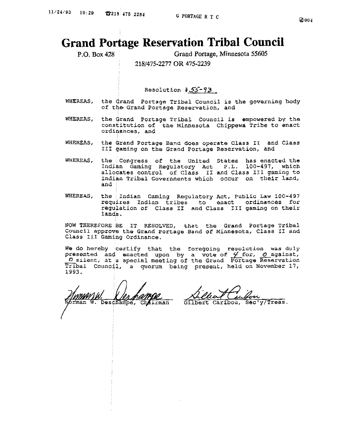# **Grand Portage Reservation Tribal Council**

P.O. **Box 428** Grand **Portage, Minnesota 55605** 

: I**21S/475-2277 OR 475-2239** 

 $Resolution$   $\#55-93$ 

- **WHEREAS,** the Grand **Portage** Tribal **Council** is the **governing body of th@** Grand **Portage Reservation, and**
- **WHEREAS, the Grand Portage** Tribal **Council is empowered by** the **constitution of** the **Minnesota** Chippewa ~ribe to **enact ordinances, and**
- **WHE-AS, the Grand Portage Band does operate** Class **I1** and **Class 111** gaming **on the** Grand **Portage** Reservation, and
- WHEREAS, **the Congress** of the United **States** has **enacted** the **Indian** Gaming Regulatory Act P.L. 100-497, which allocates **control** of **Class I1 and Class 111 gaming to Indian Tribal Governments which occur on their land, and**
- WHEREAS, **the** , Indian Gaming **Regulatory** Act, **Public Law 100-497 requires** Indian **tribes to enact ordinances for**  regulation of Class **I1 and Class I11 gaming on their lands.**

**NOW THEREFORE BE IT RESOLVED,** that the **Grand Portage Tribal Council Approve the Grand Portage Band of Minnesota, Class I1 and Class** ILI **Gaming** Ordinance.

**We do hereby certify that the foregoing revolution was duly**  presented and enacted upon by a vote of  $\frac{1}{2}$  for, <u>O</u> agains Council approve the Grand Portage Band or Minnesota, Class II and<br>Class III Gaming Ordinance.<br>We do hereby certify that the foregoing resolution was duly<br>presented and enacted upon by a vote of  $\frac{\ell}{\ell}$  for, <u>O</u> against, **Tribal ~ounc41, a** quorum being **preseul;, held on November 17, 1993.** 

Chairman man

Gilbert Caribou, Sec'y/Treas.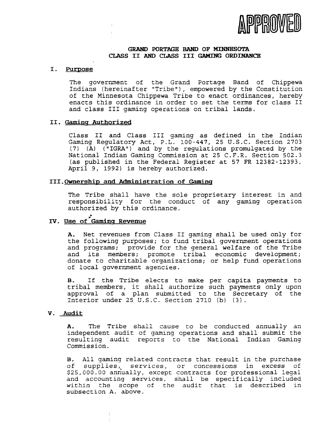

# **GRAM) PORTAGE BAND OF MINNESOTA CLASS I1 AND CLASS I11** GAMING **ORDINANCE**

# I. Purpose

The government of the Grand Portage Band of Chippewa Indians (hereinafter "Tribe"), empowered by the Constitution of the Minnesota Chippewa Tribe to enact ordinances, hereby enacts this ordinance in order to set the terms for class I1 and class I11 gaming operations on tribal lands.

# **11. Gaming Authorized**

Class I1 and Class I11 gaming as defined in the Indian Gaming Regulatory Act, P.L. 100-447, 25 U.S.C. Section 2703 (7) (A) ("IGRA") and by the regulations promulgated by the National Indian Gaming Commission at 25 C.F.R. Section 502.3 (as published in the Federal Register at 57 FR 12382-12393, April 9, 1992) is hereby authorized.

# **III. Ownership and Administration of Gaming**

The Tribe shall have the sole proprietary interest in and responsibility for the conduct of any gaming operation authorized by this ordinance.

# **TV. Use of 'Gamins Revenue**

**A,** Net revenues from Class I1 gaming shall be used only for the following purposes; to fund tribal government operations and programs; provide for the general welfare of the Tribe and its members; promote tribal economic development; donate to charitable organizations; or help fund operations of local government agencies.

B. If the Tribe elects to make per capita payments to tribal members, it shall authorize such payments only upon approval of a plan submitted to the Secretary of the Interior under 25 U.S.C. Section 2710 (b) *(3).* 

# **V. Audit**

**A.** The Tribe shall cause to be conducted annually an independent audit of gaming operations and shall submit the resulting audit reports to the National Indian Gaming Commission.

B. All gaming related contracts that result in the purchase of supplies, services, or concessions in excess of \$25,000.00 annually, except contracts for professional legal and accounting services, shall be specifically included within the scope of the audit that is described in subsection A. above.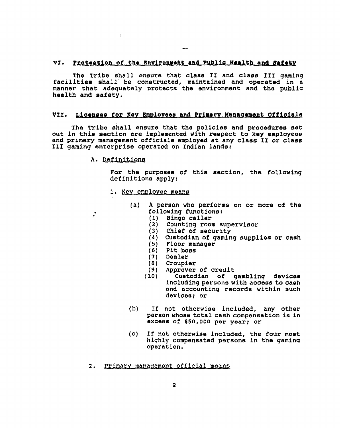## VI. Protection of the Environment and Public Health and Bafety

The Tribe shall ensure that class II and class III gaming **facilities ehall' be conetructed, maintained and operated in a manner that adequately protects the environment and tho public health and safety.** 

## VII. Licenses for Key Employees and Primary Management Officials

**The** Tribe shall **eneure** that **the policiea** and **prooeduras 6et out in thie section are implemented with respect to key employees 'and primary management officials employed at any claes IX or class I11 gaming enterprise operated on Indian lande:** 

# A. Definitions

 $\cdot$ 

**For the purposes of** this **section,** the **following definitions apply:** 

- 1. Key employee means
	- **(a) A person who performs on or more of the following functions:** 
		- **(1) Bingo caller**
		- **(2) Counting room supervisor**
		- **(3) Chief of security**
		- **(4) Custodian of gaming supplies or cash**
		- **(5) Floor manager**
		-
		- **(6) Pit boss**
		- **(7) Dealer (8) Croupier**
		-
		- **(9) Approver of credit (10) Cuetodian of gambling devices including persons with access to caeh and accounting records within such devices; or**
	- **(b) If not otherwise included, any other person whose total cash compensation is in exce8e of \$50,000 per year; or**
	- (c) If not otherwise **included,** the **four moat highly compensated persons fn the gaming operation.**

# 2. Primary management official means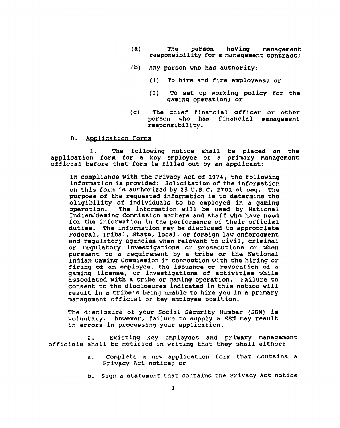- (a) The person having management<br>**responsibility for a management contract;**
- **(b) Any person who has authority:** 
	- **(I) To hire and fire employees; or**
	- **(2) To set up working policy for the gaming operation; or**
- **(c) The chief financial officer or other person who has financial management reeponsibility.**
- Application Forms в.

**1. The following notice ahall be placed on the application form for a key employee or a primary management official before that form ie filled out by an applicant:** 

**In compliance with the Privacy Act of 1974, the following information is provided: Solicitation of the information on this form is authorized by 25 U.S.C. 2701 st seq. The purpose of the requested information ia to determine the eligibility of individuals to be employed in a gaming**  The information will be used by National Indian<sup>2</sup> Gaming Commission members and staff who have need **for the information in the performance of their official dutiee. The information may be dieclosed to appropriate Federal, Tribal, State, local, or foreign law enforcement and regulatory agencies when relevant to civil, criminal or regulatory investigations or prosecutions or when pursuant to a requirement by a tribe or the National Indian Gaming Commieaion In connection with the hiring or firing of an employee, the issuance or revocation of a gaming license, or inveetigatione of activities while associated with a tribe or gaming operation. Failure to consent to the disclosures indicated in thie notice will result in a tribe's being unable to hire you in a primary management official or key employee position.** 

**The disclosure of your Social Security Number (SSN) is voluntary. however, failure to supply a SSN may reeult in errors in processing your application.** 

2. Existing key employees and primary management **officials shall be notified in writing that they shall either:** 

- **a. Complete a new application form that contains a Privgcy Act notice; or**
- **b. Sign a statement that contains the Privacy Act notiae**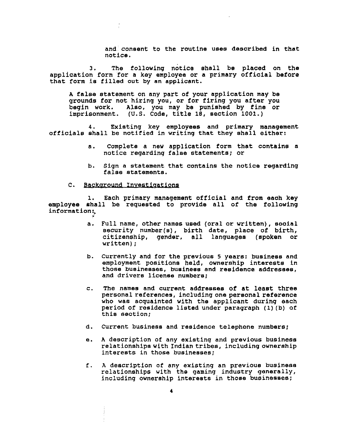**and: consent to the routine uses described in that notice.** 

**3. The following notice ehall be placed on the application form for a key employee or a primary official before that form is filled out by an applicant.** 

**A false statement on any part of your application may be grounds for not hiring you, or for firing you after you begin work. Also, you may be punished by fine or imprisonment. (U.S. Code, title 18, section 1001.)** 

**4. Existing key employees and primary management official6 shall be notified in writing that they shall either:** 

- **a. Complete a new application form that contains a notice regarding false statements; or**
- **b. Sign a statement that contains the notice regarding falee statements.**
- $\mathbf{c}$ . Background Investigations

**1, Each primary management official and from eaoh key employee shall be requested to provide all of the following information:?**  \*

- **a. Full name, other names used (oral or written), eooial security number (a)** , **birth date, place of birth, citizenship, gender, all languages (spoken or written)** ;
- **b. Currently and for the previoue 5 years: buainese and**  employment positions held, ownership interests in **those businesses, business and residence addressee, and drivers license numbere;**
- **c. The names and current addreesea of at least three personal references, including one personal reference who was acquainted with the applicant during each period of residence listed under paragraph (1) (b) of**  this section;
- **d. Current business and residence telephone numbers;**
- **e. A description of any existing and previous business relationships with Indiantribes, including ownership interests in those businesses;**
- **E. A description of any existing an previoue buainese**  relationships with the gaming industry generally, **including ownership interests in thoee buoinesaes;**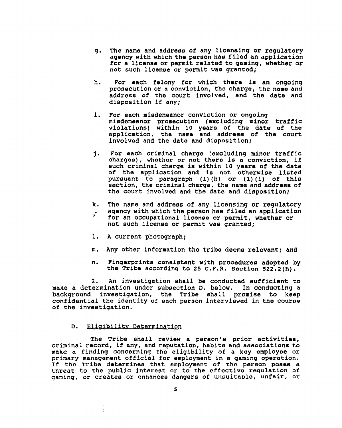- **g. The name and addrees of any licensing or regulatory agency with which the person has filed an application for a license or permit related to gaming, whether or not such licenee or permit wae granted;**
- h. For each felony for which there is an ongoing **prosecution or a conviation, the charge, the name and address of** the **court involved, and the date and disposition if any;**
- **1. For each miedemeanor conviction or ongoing miedemeanor proeecution (excluding minor traffic violations) within 10 years of the date of the application, the name and addrees of the court involved and the date and dispoeition;**
- **j. For each criminal charge (excluding minor traffio charges), whether or not there is a conviction, if such criminal charge is within 10 yeare of the date**  of the application and is not otherwise listed **pursuant to paragraph (l)(h) or (1)(1) of this section, the criminal charge, the name and address of the court involved and the date and disposition;**
- **k. The name and address of any licensing or regulatory**  . **agency with which the person has filed an application**
- **for an occupational licenee or permit, whether or not such license or permit was granted;**
- **1. A current photograph;**
- **m. Any other information the Tribe deems relevant; and**
- **n. Fingerprints consistent with proceduree adopted by the Tribe according to 25 C.F.R. Section 522.2(h).**

**2. An investigation shall be conducted sufficient to make a determination under subsection D. below. In conducting a background investigation,** the **Tribe shall promise to keep confidential the identity of each pereon interviewed in the course of the investigation.** 

#### Eligibility Determination D.

 $\frac{1}{2}$ 

**The Tribe shall review a person's prior activitiee, criminal record, if any, and reputation, habits and aesociatlons to make a finding concerning** the **eligibility of** a **key employee or primary management official for employment in a gaming operation. If the Tribe determinee** that **employment of the person poses a threat to the public interest or to the effective regulation of**  gaming, or creates or enhances dangers of unsuitable, unfair, or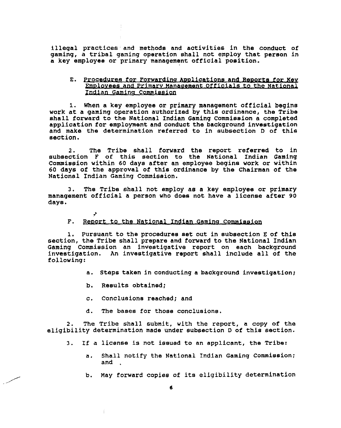**illegal practices and methods and activities in the conduct of gaming, a tribal ganing operation shall not employ that pereon in a key employee or primary management official position.** 

# E. Procedures for Forwarding Applications and Reports for Key Employees and Primary Management Officials to the National Indian Gaming Commission

**1. When a key employee or primary management official begins work at a gaming operation authorized by this ordinance, the Tribe shall forward to the National Indian Gaming Commission a completed application for employment and conduct the background investigation and make the determination referred to in subsection D of this section.** 

**2. The Tribe ehall forward the report referred to in eubaection F of this section to the National Indian Gaming Commission within 60 days after an employee begins work or within 60 days of the approval of this ordinance by the Chairman of the National Indian Gaming Commission.** 

**3. The Tribe shall not employ as a key employee or primary management official a person who does not have a license after 90 days.** 

# $\dot{r}$ . Report to the National Indian Gaming Commission

**1. Pursuant to the proceduree set out in subsection E of this section, the Tribe shall prepare and forward to the National Indian Gaming Commission an investigative report on each background investigation. An investigative report shall include all of the following:** 

- **a. Steps taken in conducting a background investigation;**
- **b, Results obtained;**
- **c. Conclusions reached; and**
- **8. The bases for those conclusione,**

2. The Tribe shall submit, with the report, a copy of the **eligibility determination made under subsection D of this section.** 

- **3. If a license is not iseued to an applicant, the Tribe:** 
	- **a. Shall notify the National Indian Gaming Commieeion; and** .
	- b. May forward copies of its eligibility determination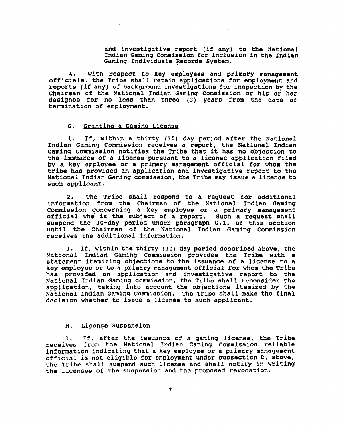**and investigative report (if any) to the National Indian Gaming Commission for inclusion in the Indian Gaming Individuale Records Gyetem.** 

**4. With respect to key employee8 and primary management officials, the Tribe** shall **retain applications for employment and reports (if any) of background inveetigations for inspection by the Chairman of the National Indian Gamfng Commiesion or his or her designee for no less than three (3) years from the date of termination of employment.** 

#### G. Granting a Gaming License

**1. If, within a thirty (30) day period after the National Indian Gaming Commission receive6 n report, the National Indian Gaming commiesion notifiee the Tribe that it has no objection to the issuance of a license pursuant to a license application filed by a key employee or a primary management official for whom the tribe has provided an application and investigative report to the**  National Indian Gaming commission, the Tribe may issue a license to **such applicant.** 

**2. The Tribe shall reepond to a request for additional**  information from the Chairman of the National Indian Gaming **Commission concerning a key employee or a primary management official whe is the subject of a report. Such a request shall suspend the 30-day period under paragraph G.1. of this aection until the Chairman of the National Indian Gaming Commission receives the additional information.** 

**3. If, within the thirty (30) day period deecribed above, the National Indian Gaming Commission provides the Tribe with a statement itemizing objections to the issuance of a license to a key employee or to a primary management official for whom the Tribe ha6 provided an application and investigative report to the**  National **Indian** Gaming **commieeion, the Tribe shall reconsider the application, taking into account the objections itemized by the National Indian Gaming Commiseion. The Tribe shall make the final decision whether to issue a license to such applicant.** 

### **H.** License Suspension

**1. If, after the issuance of a gaming license, the Tribe receives from the National Indian Gaming Commiseion reliable information indicating that a key employee or a primary management official is not eligible for employment under subsection 0, above, the Tribe** shall **susgend such licenee and shall notify in writing the licensee of the suspension and the proposed revocation.**